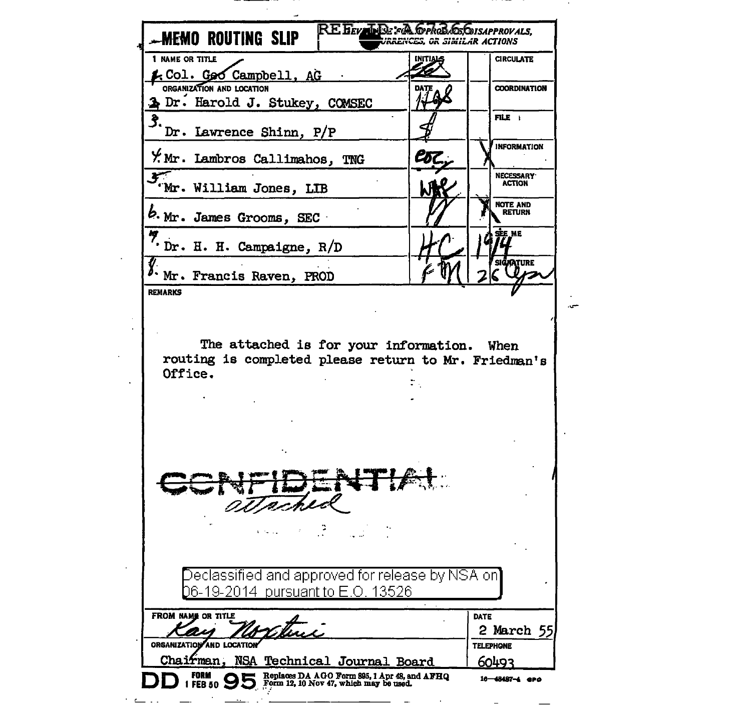| -MEMO ROUTING SLIP<br>1 NAME OR TITLE                                                                                           | <b>INITIALS</b> | <b>CIRCULATE</b>               |
|---------------------------------------------------------------------------------------------------------------------------------|-----------------|--------------------------------|
| <u>k Col. Goo Campbell, AG</u>                                                                                                  |                 |                                |
| ORGANIZATION AND LOCATION                                                                                                       |                 | <b>COORDINATION</b>            |
| > Dr. Harold J. Stukey, COMSEC                                                                                                  |                 |                                |
| 3.,                                                                                                                             |                 | FILE I                         |
| Dr. Lawrence Shinn, P/P                                                                                                         |                 |                                |
| Y. Mr. Lambros Callimahos, TNG                                                                                                  | Coz.            | <b>INFORMATION</b>             |
| Wr. William Jones, LIB                                                                                                          |                 | NECESSARY<br>ACTION            |
| b. Mr. James Grooms, SEC                                                                                                        |                 | <b>NOTE AND</b><br>RETURN      |
| Dr. H. H. Campaigne, R/D                                                                                                        |                 | SEE ME                         |
| %. Mr. Francis Raven, PROD                                                                                                      |                 | <b>SIGNATURE</b>               |
| <b>REMARKS</b><br>The attached is for your information. When<br>routing is completed please return to Mr. Friedman's<br>Office. |                 |                                |
|                                                                                                                                 |                 |                                |
| Declassified and approved for release by NSA on]<br>06-19-2014 pursuant to E.O. 13526<br>FROM NAME OR TITLE                     |                 |                                |
|                                                                                                                                 |                 | DATE                           |
| Wather<br>ORGANIZATION AND LOCATION                                                                                             |                 | 2 March 55<br><b>TELEPHONE</b> |

**Contract Contract** 

**Contractor** 

\_\_\_\_\_\_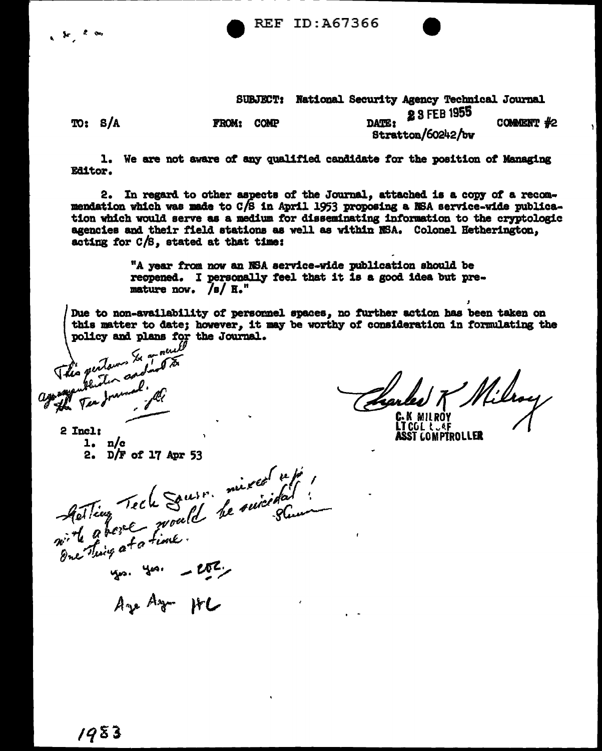**REF ID:A67366** 



1. We are not aware of any qualified candidate for the position of Managing **Editor.** 

2. In regard to other aspects of the Journal, attached is a copy of a recommendation which was made to C/S in April 1953 proposing a NSA service-wide publication which would serve as a medium for disseminating information to the cryptologic agencies and their field stations as well as within NSA. Colonel Hetherington, acting for  $C/S$ , stated at that time:

> "A year from now an NSA service-wide publication should be reopened. I personally feel that it is a good idea but premature now.  $/s/ R'''$

Due to non-availability of personnel spaces, no further action has been taken on this matter to date; however, it may be worthy of consideration in formulating the policy and plans for the Journal.

18 Milroy Tharles.

**LT COL LUAF ASST COMPTROLLER** 

2 Incl:  $1. n/c$ 2.  $D/F$  of 17 Apr 53

Acting Tech Sousse mixed refé. you you - ever

Are Az HC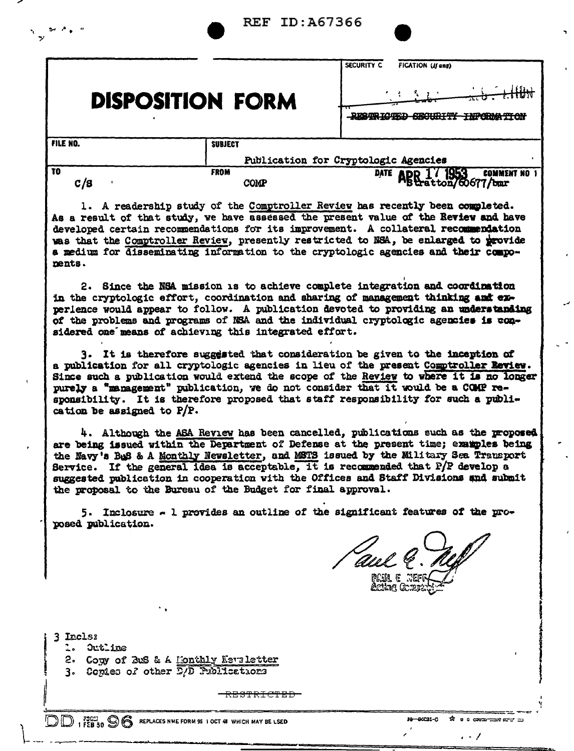| - - -                   |                            |                                                                                                                                                                      |
|-------------------------|----------------------------|----------------------------------------------------------------------------------------------------------------------------------------------------------------------|
|                         |                            | <b>SECURITY C</b><br><b>FICATION (If any)</b>                                                                                                                        |
| <b>DISPOSITION FORM</b> |                            | $+$ Hith<br>$\pi \sigma$ .                                                                                                                                           |
| FILE NO.                | <b>SUBJECT</b>             |                                                                                                                                                                      |
|                         |                            | Publication for Cryptologic Agencies                                                                                                                                 |
| $\overline{10}$<br>c/s  | <b>FROM</b><br><b>COMP</b> | <b>DATE</b><br><b>COMMENT NO 1</b><br>ABR 17 1953 COMMEN<br>BRatton/60677/bmr                                                                                        |
|                         |                            | 1. A readership study of the Comptroller Review has recently been completed.<br>As a result of that study, we have assessed the present value of the Review and have |

**REF ID: A67366** 

developed certain recommendations for its improvement. A collateral recommendation was that the Comptroller Review, presently restricted to NSA, be enlarged to provide a medium for disseminating information to the cryptologic agencies and their components.

2. Since the NSA mission is to achieve complete integration and coordination in the cryptologic effort, coordination and sharing of management thinking and experience would appear to follow. A publication devoted to providing an understanding of the problems and programs of NSA and the individual cryptologic agencies is considered one means of achieving this integrated effort.

3. It is therefore suggested that consideration be given to the inception of a publication for all cryptologic agencies in lieu of the present Comptroller Review. Since such a publication would extend the scope of the Review to where it is no longer purely a "management" publication, we do not consider that it would be a COMP responsibility. It is therefore proposed that staff responsibility for such a publication be assigned to  $P/P$ .

4. Although the ASA Review has been cancelled, publications such as the proposed are being issued within the Department of Defense at the present time; examples being the Navy's BuS & A Monthly Newsletter, and MSTS issued by the Military Sea Transport Service. If the general idea is acceptable, it is recommended that P/P develop a suggested publication in cooperation with the Offices and Staff Divisions and submit the proposal to the Bureau of the Budget for final approval.

5. Inclosure - 1 provides an outline of the significant features of the proposed publication.

rie e se kting Gund

-00031-0

ਸ਼ੀ ਰ c cavooncer ਨਾਰ =∪

 $\cdot$   $\cdot$  /

3 Incls:

- 1. Outline
- 2. Comy of BuS & A Monthly Newsletter
- 3. Copies of other E/D Publications

<del>RESTRICTED</del>

**DD** I FEB 50 S REPLACES NME FORM 95 1 OCT 48 WHICH MAY BE LSED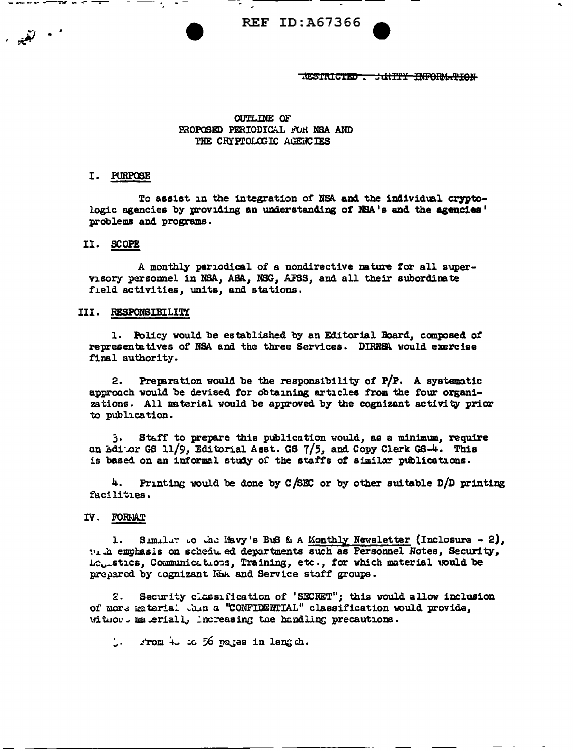**REF ID: A67366** 

TESTRICTED - JUNTTY INFORMATION

# **OUTLINE OF** PROPOSED PERIODICAL FOR NSA AND THE CRYPTOLOGIC AGENCIES

### I. FURPOSE

To assist in the integration of NSA and the individual cryptologic agencies by providing an understanding of NSA's and the agencies' problems and programs.

# II. SCOPE

A monthly periodical of a nondirective nature for all supervisory personnel in NSA, ASA, NSG, AFSS, and all their subordinate field activities, units, and stations.

### III. RESPONSIBILITY

1. Policy would be established by an Editorial Board, composed of representatives of NSA and the three Services. DIRNSA would exercise final authority.

Preparation would be the responsibility of  $P/P$ . A systematic  $2.$ approach would be devised for obtaining articles from the four organizations. All material would be approved by the cognizant activity prior to publication.

Staff to prepare this publication would, as a minimum, require 3. an Edior GS 11/9, Editorial Asst. GS 7/5, and Copy Clerk GS-4. This is based on an informal study of the staffs of similar publications.

Printing would be done by  $C/SEC$  or by other suitable  $D/D$  printing 4. facilities.

### IV. FORMAT

Similar to the Wavy's BuS & A Monthly Newsletter (Inclosure - 2), ī. W. h emphasis on schedu ed departments such as Personnel Notes, Security, Le<sub>br</sub>stics, Communications, Training, etc., for which material would be prepared by cognizant KoA and Service staff groups.

 $\mathbf{c}$ . Security classification of 'SECRET"; this would allow inclusion of more material thin a "CONFIDENTIAL" classification would provide, without meteriall, increasing the handling precautions.

.. rom + : c 56 pares in length.